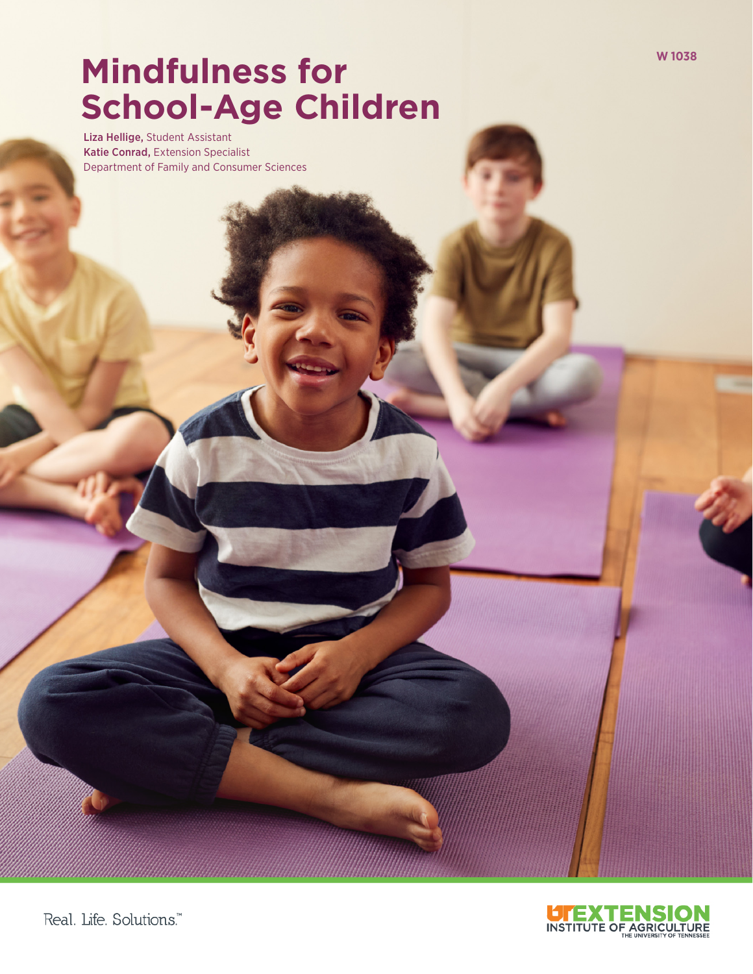# **Mindfulness for**  $\frac{1}{2}$ **School-Age Children**

Liza Hellige, Student Assistant Katie Conrad, Extension Specialist Department of Family and Consumer Sciences

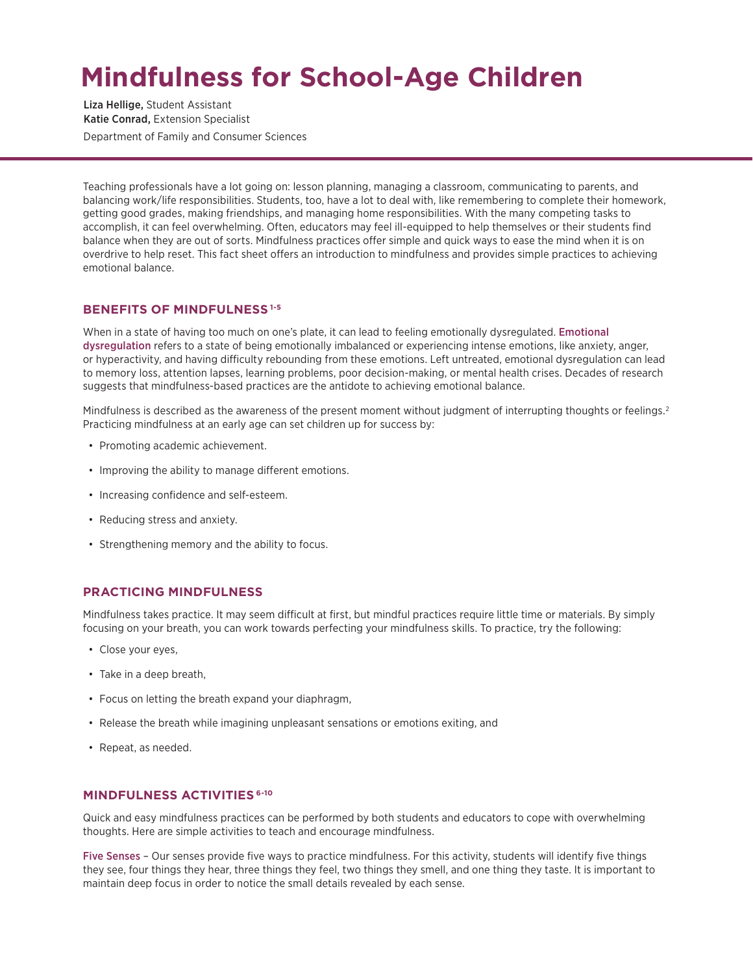# **Mindfulness for School-Age Children**

Liza Hellige, Student Assistant Katie Conrad, Extension Specialist Department of Family and Consumer Sciences

Teaching professionals have a lot going on: lesson planning, managing a classroom, communicating to parents, and balancing work/life responsibilities. Students, too, have a lot to deal with, like remembering to complete their homework, getting good grades, making friendships, and managing home responsibilities. With the many competing tasks to accomplish, it can feel overwhelming. Often, educators may feel ill-equipped to help themselves or their students find balance when they are out of sorts. Mindfulness practices offer simple and quick ways to ease the mind when it is on overdrive to help reset. This fact sheet offers an introduction to mindfulness and provides simple practices to achieving emotional balance.

### **BENEFITS OF MINDFULNESS 1-5**

When in a state of having too much on one's plate, it can lead to feeling emotionally dysregulated. Emotional dysregulation refers to a state of being emotionally imbalanced or experiencing intense emotions, like anxiety, anger, or hyperactivity, and having difficulty rebounding from these emotions. Left untreated, emotional dysregulation can lead to memory loss, attention lapses, learning problems, poor decision-making, or mental health crises. Decades of research suggests that mindfulness-based practices are the antidote to achieving emotional balance.

Mindfulness is described as the awareness of the present moment without judgment of interrupting thoughts or feelings.<sup>2</sup> Practicing mindfulness at an early age can set children up for success by:

- Promoting academic achievement.
- Improving the ability to manage different emotions.
- Increasing confidence and self-esteem.
- Reducing stress and anxiety.
- Strengthening memory and the ability to focus.

# **PRACTICING MINDFULNESS**

Mindfulness takes practice. It may seem difficult at first, but mindful practices require little time or materials. By simply focusing on your breath, you can work towards perfecting your mindfulness skills. To practice, try the following:

- Close your eyes,
- Take in a deep breath,
- Focus on letting the breath expand your diaphragm,
- Release the breath while imagining unpleasant sensations or emotions exiting, and
- Repeat, as needed.

#### **MINDFULNESS ACTIVITIES 6-10**

Quick and easy mindfulness practices can be performed by both students and educators to cope with overwhelming thoughts. Here are simple activities to teach and encourage mindfulness.

Five Senses – Our senses provide five ways to practice mindfulness. For this activity, students will identify five things they see, four things they hear, three things they feel, two things they smell, and one thing they taste. It is important to maintain deep focus in order to notice the small details revealed by each sense.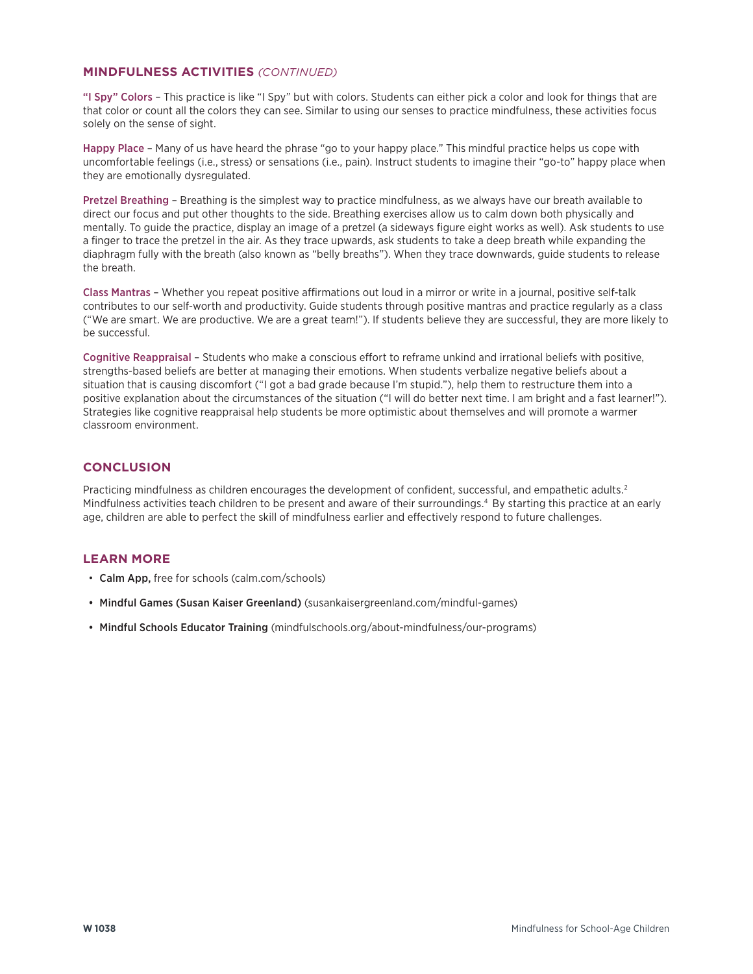### **MINDFULNESS ACTIVITIES** *(CONTINUED)*

"I Spy" Colors – This practice is like "I Spy" but with colors. Students can either pick a color and look for things that are that color or count all the colors they can see. Similar to using our senses to practice mindfulness, these activities focus solely on the sense of sight.

Happy Place – Many of us have heard the phrase "go to your happy place." This mindful practice helps us cope with uncomfortable feelings (i.e., stress) or sensations (i.e., pain). Instruct students to imagine their "go-to" happy place when they are emotionally dysregulated.

Pretzel Breathing – Breathing is the simplest way to practice mindfulness, as we always have our breath available to direct our focus and put other thoughts to the side. Breathing exercises allow us to calm down both physically and mentally. To guide the practice, display an image of a pretzel (a sideways figure eight works as well). Ask students to use a finger to trace the pretzel in the air. As they trace upwards, ask students to take a deep breath while expanding the diaphragm fully with the breath (also known as "belly breaths"). When they trace downwards, guide students to release the breath.

Class Mantras – Whether you repeat positive affirmations out loud in a mirror or write in a journal, positive self-talk contributes to our self-worth and productivity. Guide students through positive mantras and practice regularly as a class ("We are smart. We are productive. We are a great team!"). If students believe they are successful, they are more likely to be successful.

Cognitive Reappraisal – Students who make a conscious effort to reframe unkind and irrational beliefs with positive, strengths-based beliefs are better at managing their emotions. When students verbalize negative beliefs about a situation that is causing discomfort ("I got a bad grade because I'm stupid."), help them to restructure them into a positive explanation about the circumstances of the situation ("I will do better next time. I am bright and a fast learner!"). Strategies like cognitive reappraisal help students be more optimistic about themselves and will promote a warmer classroom environment.

# **CONCLUSION**

Practicing mindfulness as children encourages the development of confident, successful, and empathetic adults.<sup>2</sup> Mindfulness activities teach children to be present and aware of their surroundings.4 By starting this practice at an early age, children are able to perfect the skill of mindfulness earlier and effectively respond to future challenges.

# **LEARN MORE**

- Calm App, free for schools (calm.com/schools)
- Mindful Games (Susan Kaiser Greenland) (susankaisergreenland.com/mindful-games)
- Mindful Schools Educator Training (mindfulschools.org/about-mindfulness/our-programs)